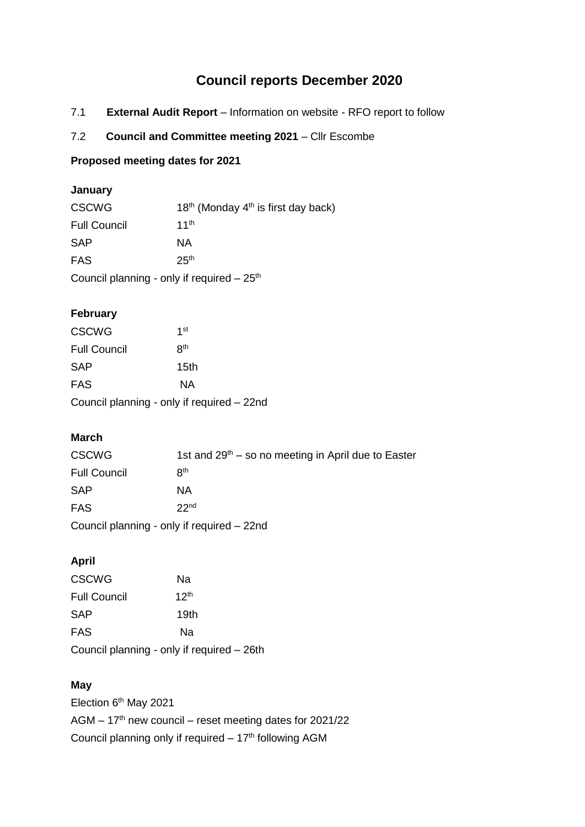# **Council reports December 2020**

- 7.1 **External Audit Report** Information on website RFO report to follow
- 7.2 **Council and Committee meeting 2021** Cllr Escombe

#### **Proposed meeting dates for 2021**

## **January**

| <b>CSCWG</b>                                | $18th$ (Monday 4 <sup>th</sup> is first day back) |  |  |  |
|---------------------------------------------|---------------------------------------------------|--|--|--|
| <b>Full Council</b>                         | 11 <sup>th</sup>                                  |  |  |  |
| <b>SAP</b>                                  | NA.                                               |  |  |  |
| <b>FAS</b>                                  | 25 <sup>th</sup>                                  |  |  |  |
| Council planning - only if required $-25th$ |                                                   |  |  |  |

## **February**

| <b>CSCWG</b>                               | 1st             |  |  |  |
|--------------------------------------------|-----------------|--|--|--|
| <b>Full Council</b>                        | R <sup>th</sup> |  |  |  |
| SAP                                        | 15th            |  |  |  |
| FAS                                        | NA              |  |  |  |
| Council planning - only if required – 22nd |                 |  |  |  |

## **March**

| <b>CSCWG</b>                               | 1st and $29th -$ so no meeting in April due to Easter |  |  |  |
|--------------------------------------------|-------------------------------------------------------|--|--|--|
| <b>Full Council</b>                        | R <sup>th</sup>                                       |  |  |  |
| <b>SAP</b>                                 | ΝA                                                    |  |  |  |
| <b>FAS</b>                                 | 22 <sub>nd</sub>                                      |  |  |  |
| Council planning - only if required - 22nd |                                                       |  |  |  |

## **April**

| <b>CSCWG</b>                               | Nа               |
|--------------------------------------------|------------------|
| <b>Full Council</b>                        | 12 <sup>th</sup> |
| SAP                                        | 19th             |
| <b>FAS</b>                                 | Nа               |
| Council planning - only if required - 26th |                  |

## **May**

Election 6<sup>th</sup> May 2021 AGM – 17th new council – reset meeting dates for 2021/22 Council planning only if required  $-17<sup>th</sup>$  following AGM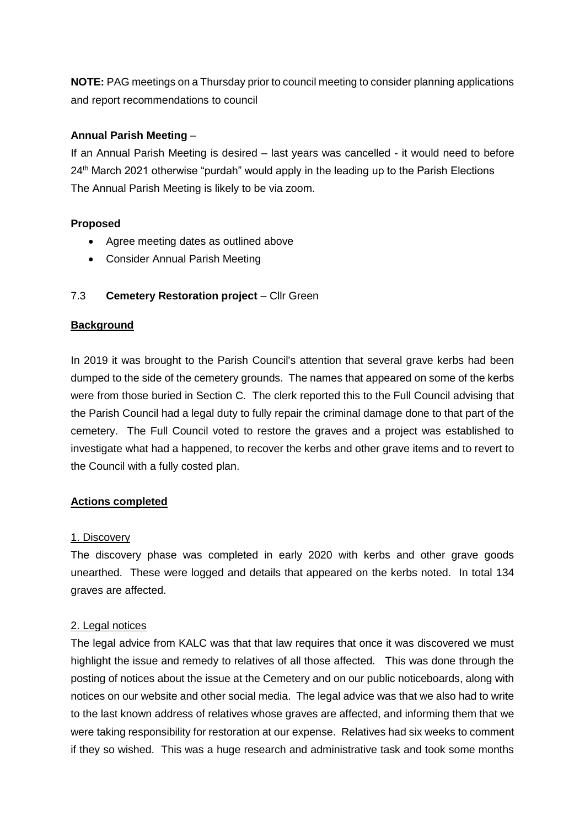**NOTE:** PAG meetings on a Thursday prior to council meeting to consider planning applications and report recommendations to council

## **Annual Parish Meeting** –

If an Annual Parish Meeting is desired – last years was cancelled - it would need to before  $24<sup>th</sup>$  March 2021 otherwise "purdah" would apply in the leading up to the Parish Elections The Annual Parish Meeting is likely to be via zoom.

#### **Proposed**

- Agree meeting dates as outlined above
- Consider Annual Parish Meeting

## 7.3 **Cemetery Restoration project** – Cllr Green

#### **Background**

In 2019 it was brought to the Parish Council's attention that several grave kerbs had been dumped to the side of the cemetery grounds. The names that appeared on some of the kerbs were from those buried in Section C. The clerk reported this to the Full Council advising that the Parish Council had a legal duty to fully repair the criminal damage done to that part of the cemetery. The Full Council voted to restore the graves and a project was established to investigate what had a happened, to recover the kerbs and other grave items and to revert to the Council with a fully costed plan.

#### **Actions completed**

#### 1. Discovery

The discovery phase was completed in early 2020 with kerbs and other grave goods unearthed. These were logged and details that appeared on the kerbs noted. In total 134 graves are affected.

#### 2. Legal notices

The legal advice from KALC was that that law requires that once it was discovered we must highlight the issue and remedy to relatives of all those affected. This was done through the posting of notices about the issue at the Cemetery and on our public noticeboards, along with notices on our website and other social media. The legal advice was that we also had to write to the last known address of relatives whose graves are affected, and informing them that we were taking responsibility for restoration at our expense. Relatives had six weeks to comment if they so wished. This was a huge research and administrative task and took some months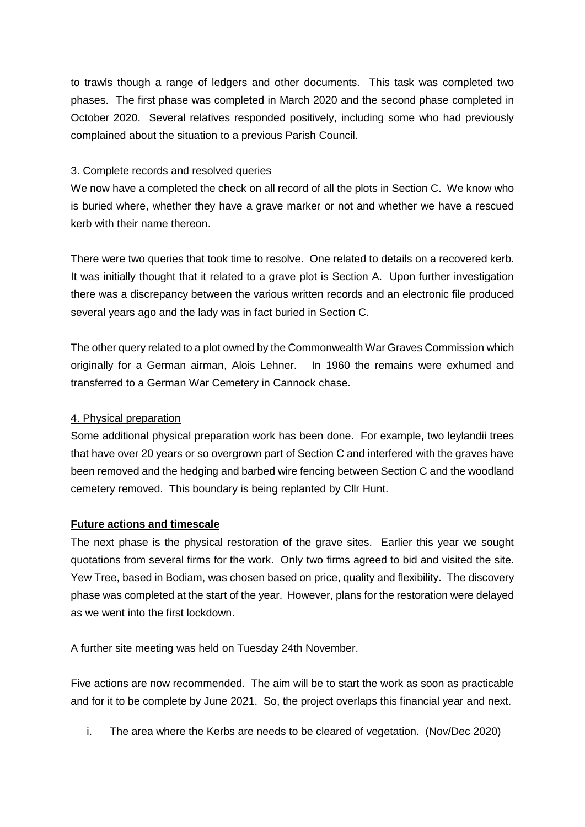to trawls though a range of ledgers and other documents. This task was completed two phases. The first phase was completed in March 2020 and the second phase completed in October 2020. Several relatives responded positively, including some who had previously complained about the situation to a previous Parish Council.

#### 3. Complete records and resolved queries

We now have a completed the check on all record of all the plots in Section C. We know who is buried where, whether they have a grave marker or not and whether we have a rescued kerb with their name thereon.

There were two queries that took time to resolve. One related to details on a recovered kerb. It was initially thought that it related to a grave plot is Section A. Upon further investigation there was a discrepancy between the various written records and an electronic file produced several years ago and the lady was in fact buried in Section C.

The other query related to a plot owned by the Commonwealth War Graves Commission which originally for a German airman, Alois Lehner. In 1960 the remains were exhumed and transferred to a German War Cemetery in Cannock chase.

## 4. Physical preparation

Some additional physical preparation work has been done. For example, two leylandii trees that have over 20 years or so overgrown part of Section C and interfered with the graves have been removed and the hedging and barbed wire fencing between Section C and the woodland cemetery removed. This boundary is being replanted by Cllr Hunt.

## **Future actions and timescale**

The next phase is the physical restoration of the grave sites. Earlier this year we sought quotations from several firms for the work. Only two firms agreed to bid and visited the site. Yew Tree, based in Bodiam, was chosen based on price, quality and flexibility. The discovery phase was completed at the start of the year. However, plans for the restoration were delayed as we went into the first lockdown.

A further site meeting was held on Tuesday 24th November.

Five actions are now recommended. The aim will be to start the work as soon as practicable and for it to be complete by June 2021. So, the project overlaps this financial year and next.

i. The area where the Kerbs are needs to be cleared of vegetation. (Nov/Dec 2020)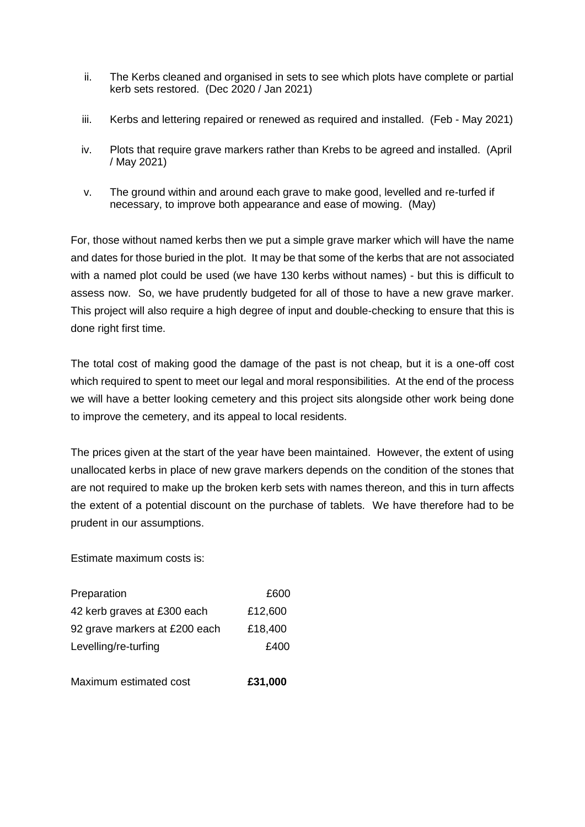- ii. The Kerbs cleaned and organised in sets to see which plots have complete or partial kerb sets restored. (Dec 2020 / Jan 2021)
- iii. Kerbs and lettering repaired or renewed as required and installed. (Feb May 2021)
- iv. Plots that require grave markers rather than Krebs to be agreed and installed. (April / May 2021)
- v. The ground within and around each grave to make good, levelled and re-turfed if necessary, to improve both appearance and ease of mowing. (May)

For, those without named kerbs then we put a simple grave marker which will have the name and dates for those buried in the plot. It may be that some of the kerbs that are not associated with a named plot could be used (we have 130 kerbs without names) - but this is difficult to assess now. So, we have prudently budgeted for all of those to have a new grave marker. This project will also require a high degree of input and double-checking to ensure that this is done right first time.

The total cost of making good the damage of the past is not cheap, but it is a one-off cost which required to spent to meet our legal and moral responsibilities. At the end of the process we will have a better looking cemetery and this project sits alongside other work being done to improve the cemetery, and its appeal to local residents.

The prices given at the start of the year have been maintained. However, the extent of using unallocated kerbs in place of new grave markers depends on the condition of the stones that are not required to make up the broken kerb sets with names thereon, and this in turn affects the extent of a potential discount on the purchase of tablets. We have therefore had to be prudent in our assumptions.

Estimate maximum costs is:

| Preparation                   | £600    |
|-------------------------------|---------|
| 42 kerb graves at £300 each   | £12,600 |
| 92 grave markers at £200 each | £18,400 |
| Levelling/re-turfing          | £400    |
|                               |         |

Maximum estimated cost **£31,000**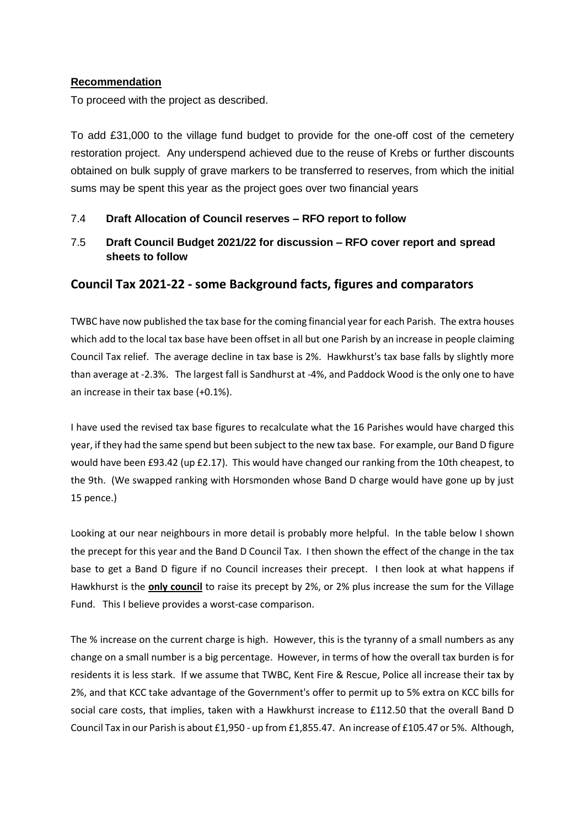#### **Recommendation**

To proceed with the project as described.

To add £31,000 to the village fund budget to provide for the one-off cost of the cemetery restoration project. Any underspend achieved due to the reuse of Krebs or further discounts obtained on bulk supply of grave markers to be transferred to reserves, from which the initial sums may be spent this year as the project goes over two financial years

#### 7.4 **Draft Allocation of Council reserves – RFO report to follow**

7.5 **Draft Council Budget 2021/22 for discussion – RFO cover report and spread sheets to follow**

## **Council Tax 2021-22 - some Background facts, figures and comparators**

TWBC have now published the tax base for the coming financial year for each Parish. The extra houses which add to the local tax base have been offset in all but one Parish by an increase in people claiming Council Tax relief. The average decline in tax base is 2%. Hawkhurst's tax base falls by slightly more than average at -2.3%. The largest fall is Sandhurst at -4%, and Paddock Wood is the only one to have an increase in their tax base (+0.1%).

I have used the revised tax base figures to recalculate what the 16 Parishes would have charged this year, if they had the same spend but been subject to the new tax base. For example, our Band D figure would have been £93.42 (up £2.17). This would have changed our ranking from the 10th cheapest, to the 9th. (We swapped ranking with Horsmonden whose Band D charge would have gone up by just 15 pence.)

Looking at our near neighbours in more detail is probably more helpful. In the table below I shown the precept for this year and the Band D Council Tax. I then shown the effect of the change in the tax base to get a Band D figure if no Council increases their precept. I then look at what happens if Hawkhurst is the **only council** to raise its precept by 2%, or 2% plus increase the sum for the Village Fund. This I believe provides a worst-case comparison.

The % increase on the current charge is high. However, this is the tyranny of a small numbers as any change on a small number is a big percentage. However, in terms of how the overall tax burden is for residents it is less stark. If we assume that TWBC, Kent Fire & Rescue, Police all increase their tax by 2%, and that KCC take advantage of the Government's offer to permit up to 5% extra on KCC bills for social care costs, that implies, taken with a Hawkhurst increase to £112.50 that the overall Band D Council Tax in our Parish is about £1,950 - up from £1,855.47. An increase of £105.47 or 5%. Although,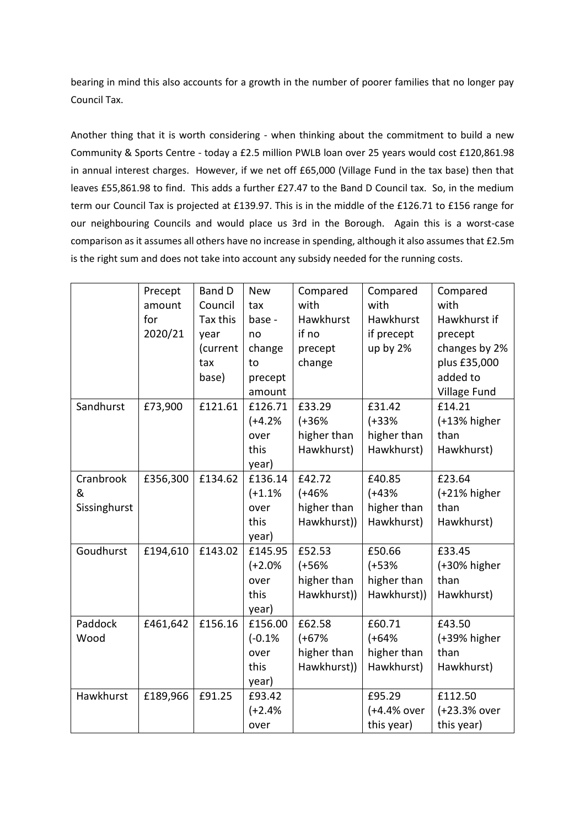bearing in mind this also accounts for a growth in the number of poorer families that no longer pay Council Tax.

Another thing that it is worth considering - when thinking about the commitment to build a new Community & Sports Centre - today a £2.5 million PWLB loan over 25 years would cost £120,861.98 in annual interest charges. However, if we net off £65,000 (Village Fund in the tax base) then that leaves £55,861.98 to find. This adds a further £27.47 to the Band D Council tax. So, in the medium term our Council Tax is projected at £139.97. This is in the middle of the £126.71 to £156 range for our neighbouring Councils and would place us 3rd in the Borough. Again this is a worst-case comparison as it assumes all others have no increase in spending, although it also assumes that £2.5m is the right sum and does not take into account any subsidy needed for the running costs.

|                                | Precept<br>amount<br>for<br>2020/21 | <b>Band D</b><br>Council<br>Tax this<br>year<br>(current<br>tax<br>base) | <b>New</b><br>tax<br>base -<br>no<br>change<br>to<br>precept<br>amount | Compared<br>with<br>Hawkhurst<br>if no<br>precept<br>change | Compared<br>with<br>Hawkhurst<br>if precept<br>up by 2% | Compared<br>with<br>Hawkhurst if<br>precept<br>changes by 2%<br>plus £35,000<br>added to<br>Village Fund |
|--------------------------------|-------------------------------------|--------------------------------------------------------------------------|------------------------------------------------------------------------|-------------------------------------------------------------|---------------------------------------------------------|----------------------------------------------------------------------------------------------------------|
| Sandhurst                      | £73,900                             | £121.61                                                                  | £126.71<br>$(+4.2%$<br>over<br>this<br>year)                           | £33.29<br>$(+36%$<br>higher than<br>Hawkhurst)              | £31.42<br>$(+33%$<br>higher than<br>Hawkhurst)          | £14.21<br>$(+13%$ higher<br>than<br>Hawkhurst)                                                           |
| Cranbrook<br>&<br>Sissinghurst | £356,300                            | £134.62                                                                  | £136.14<br>$(+1.1%$<br>over<br>this<br>year)                           | £42.72<br>$(+46%$<br>higher than<br>Hawkhurst))             | £40.85<br>$(+43%$<br>higher than<br>Hawkhurst)          | £23.64<br>$(+21\%$ higher<br>than<br>Hawkhurst)                                                          |
| Goudhurst                      | £194,610                            | £143.02                                                                  | £145.95<br>$(+2.0%$<br>over<br>this<br>year)                           | £52.53<br>$(+56%$<br>higher than<br>Hawkhurst))             | £50.66<br>$(+53%$<br>higher than<br>Hawkhurst))         | £33.45<br>(+30% higher<br>than<br>Hawkhurst)                                                             |
| Paddock<br>Wood                | £461,642                            | £156.16                                                                  | £156.00<br>$(-0.1%$<br>over<br>this<br>year)                           | £62.58<br>$(+67%$<br>higher than<br>Hawkhurst))             | £60.71<br>$(+64%$<br>higher than<br>Hawkhurst)          | £43.50<br>(+39% higher<br>than<br>Hawkhurst)                                                             |
| Hawkhurst                      | £189,966                            | £91.25                                                                   | £93.42<br>$(+2.4%$<br>over                                             |                                                             | £95.29<br>(+4.4% over<br>this year)                     | £112.50<br>(+23.3% over<br>this year)                                                                    |